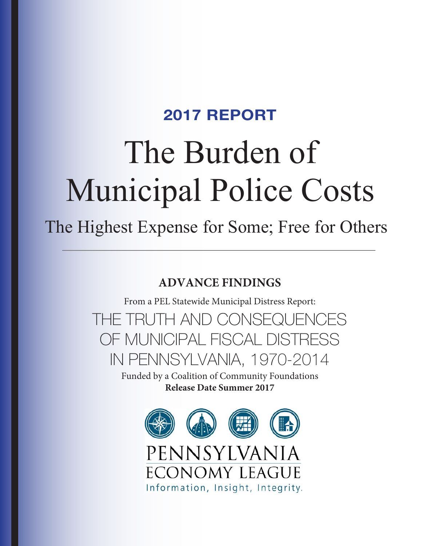# The Burden of Municipal Police Costs 2017 REPORT

The Highest Expense for Some; Free for Others

# **ADVANCE FINDINGS**

From a PEL Statewide Municipal Distress Report:

THE TRUTH AND CONSEQUENCES OF MUNICIPAL FISCAL DISTRESS IN PENNSYLVANIA, 1970-2014

> Funded by a Coalition of Community Foundations **Release Date Summer 2017**

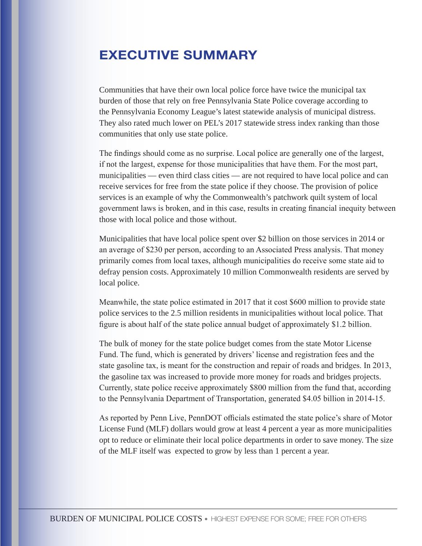## EXECUTIVE SUMMARY

Communities that have their own local police force have twice the municipal tax burden of those that rely on free Pennsylvania State Police coverage according to the Pennsylvania Economy League's latest statewide analysis of municipal distress. They also rated much lower on PEL's 2017 statewide stress index ranking than those communities that only use state police.

The findings should come as no surprise. Local police are generally one of the largest, if not the largest, expense for those municipalities that have them. For the most part, municipalities — even third class cities — are not required to have local police and can receive services for free from the state police if they choose. The provision of police services is an example of why the Commonwealth's patchwork quilt system of local government laws is broken, and in this case, results in creating financial inequity between those with local police and those without.

Municipalities that have local police spent over \$2 billion on those services in 2014 or an average of \$230 per person, according to an Associated Press analysis. That money primarily comes from local taxes, although municipalities do receive some state aid to defray pension costs. Approximately 10 million Commonwealth residents are served by local police.

Meanwhile, the state police estimated in 2017 that it cost \$600 million to provide state police services to the 2.5 million residents in municipalities without local police. That figure is about half of the state police annual budget of approximately \$1.2 billion.

The bulk of money for the state police budget comes from the state Motor License Fund. The fund, which is generated by drivers' license and registration fees and the state gasoline tax, is meant for the construction and repair of roads and bridges. In 2013, the gasoline tax was increased to provide more money for roads and bridges projects. Currently, state police receive approximately \$800 million from the fund that, according to the Pennsylvania Department of Transportation, generated \$4.05 billion in 2014-15.

As reported by Penn Live, PennDOT officials estimated the state police's share of Motor License Fund (MLF) dollars would grow at least 4 percent a year as more municipalities opt to reduce or eliminate their local police departments in order to save money. The size of the MLF itself was expected to grow by less than 1 percent a year.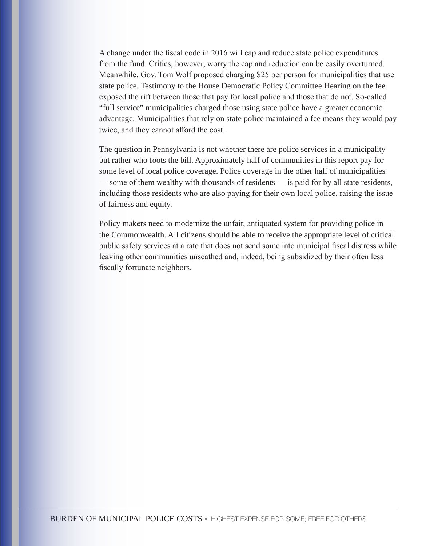A change under the fiscal code in 2016 will cap and reduce state police expenditures from the fund. Critics, however, worry the cap and reduction can be easily overturned. Meanwhile, Gov. Tom Wolf proposed charging \$25 per person for municipalities that use state police. Testimony to the House Democratic Policy Committee Hearing on the fee exposed the rift between those that pay for local police and those that do not. So-called "full service" municipalities charged those using state police have a greater economic advantage. Municipalities that rely on state police maintained a fee means they would pay twice, and they cannot afford the cost.

The question in Pennsylvania is not whether there are police services in a municipality but rather who foots the bill. Approximately half of communities in this report pay for some level of local police coverage. Police coverage in the other half of municipalities — some of them wealthy with thousands of residents — is paid for by all state residents, including those residents who are also paying for their own local police, raising the issue of fairness and equity.

Policy makers need to modernize the unfair, antiquated system for providing police in the Commonwealth. All citizens should be able to receive the appropriate level of critical public safety services at a rate that does not send some into municipal fiscal distress while leaving other communities unscathed and, indeed, being subsidized by their often less fiscally fortunate neighbors.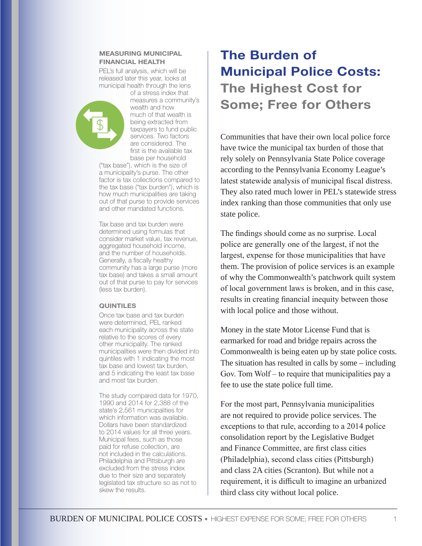#### MEASURING MUNICIPAL FINANCIAL HEALTH

PEL's full analysis, which will be released later this year, looks at municipal health through the lens



of a stress index that measures a community's wealth and how much of that wealth is being extracted from taxpayers to fund public services. Two factors are considered. The first is the available tax base per household

("tax base"), which is the size of a municipality's purse. The other factor is tax collections compared to the tax base ("tax burden"), which is how much municipalities are taking out of that purse to provide services and other mandated functions.

Tax base and tax burden were determined using formulas that consider market value, tax revenue, aggregated household income, and the number of households. Generally, a fiscally healthy community has a large purse (more tax base) and takes a small amount out of that purse to pay for services (less tax burden).

#### QUINTILES

Once tax base and tax burden were determined, PEL ranked each municipality across the state relative to the scores of every other municipality. The ranked municipalities were then divided into quintiles with 1 indicating the most tax base and lowest tax burden, and 5 indicating the least tax base and most tax burden.

The study compared data for 1970, 1990 and 2014 for 2,388 of the state's 2,561 municipalities for which information was available. Dollars have been standardized to 2014 values for all three years. Municipal fees, such as those paid for refuse collection, are not included in the calculations. Philadelphia and Pittsburgh are excluded from the stress index due to their size and separately legislated tax structure so as not to skew the results.

# The Burden of Municipal Police Costs: The Highest Cost for Some; Free for Others

Communities that have their own local police force have twice the municipal tax burden of those that rely solely on Pennsylvania State Police coverage according to the Pennsylvania Economy League's latest statewide analysis of municipal fiscal distress. They also rated much lower in PEL's statewide stress index ranking than those communities that only use state police.

The findings should come as no surprise. Local police are generally one of the largest, if not the largest, expense for those municipalities that have them. The provision of police services is an example of why the Commonwealth's patchwork quilt system of local government laws is broken, and in this case, results in creating financial inequity between those with local police and those without.

Money in the state Motor License Fund that is earmarked for road and bridge repairs across the Commonwealth is being eaten up by state police costs. The situation has resulted in calls by some – including Gov. Tom Wolf – to require that municipalities pay a fee to use the state police full time.

For the most part, Pennsylvania municipalities are not required to provide police services. The exceptions to that rule, according to a 2014 police consolidation report by the Legislative Budget and Finance Committee, are first class cities (Philadelphia), second class cities (Pittsburgh) and class 2A cities (Scranton). But while not a requirement, it is difficult to imagine an urbanized third class city without local police.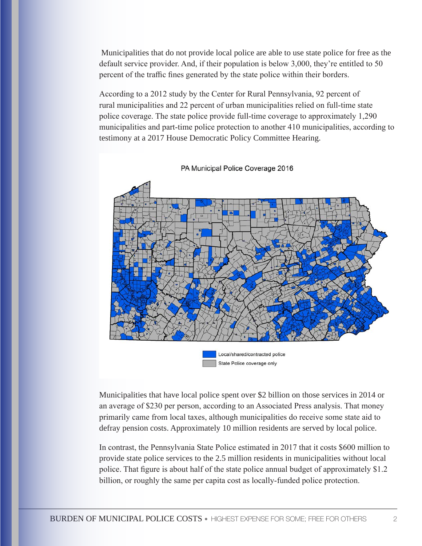Municipalities that do not provide local police are able to use state police for free as the default service provider. And, if their population is below 3,000, they're entitled to 50 percent of the traffic fines generated by the state police within their borders.

According to a 2012 study by the Center for Rural Pennsylvania, 92 percent of rural municipalities and 22 percent of urban municipalities relied on full-time state police coverage. The state police provide full-time coverage to approximately 1,290 municipalities and part-time police protection to another 410 municipalities, according to testimony at a 2017 House Democratic Policy Committee Hearing.



PA Municipal Police Coverage 2016

Municipalities that have local police spent over \$2 billion on those services in 2014 or an average of \$230 per person, according to an Associated Press analysis. That money primarily came from local taxes, although municipalities do receive some state aid to defray pension costs. Approximately 10 million residents are served by local police.

In contrast, the Pennsylvania State Police estimated in 2017 that it costs \$600 million to provide state police services to the 2.5 million residents in municipalities without local police. That figure is about half of the state police annual budget of approximately \$1.2 billion, or roughly the same per capita cost as locally-funded police protection.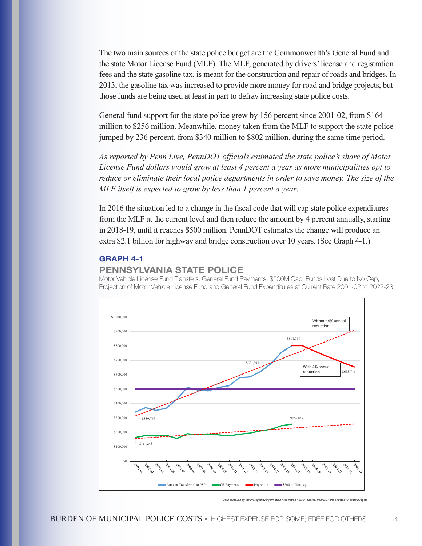The two main sources of the state police budget are the Commonwealth's General Fund and the state Motor License Fund (MLF). The MLF, generated by drivers' license and registration fees and the state gasoline tax, is meant for the construction and repair of roads and bridges. In 2013, the gasoline tax was increased to provide more money for road and bridge projects, but those funds are being used at least in part to defray increasing state police costs.

General fund support for the state police grew by 156 percent since 2001-02, from \$164 million to \$256 million. Meanwhile, money taken from the MLF to support the state police jumped by 236 percent, from \$340 million to \$802 million, during the same time period.

*As reported by Penn Live, PennDOT officials estimated the state police's share of Motor License Fund dollars would grow at least 4 percent a year as more municipalities opt to reduce or eliminate their local police departments in order to save money. The size of the MLF itself is expected to grow by less than 1 percent a year*.

In 2016 the situation led to a change in the fiscal code that will cap state police expenditures from the MLF at the current level and then reduce the amount by 4 percent annually, starting in 2018-19, until it reaches \$500 million. PennDOT estimates the change will produce an extra \$2.1 billion for highway and bridge construction over 10 years. (See Graph 4-1.)

#### GRAPH 4-1

## PENNSYLVANIA STATE POLICE

Motor Vehicle License Fund Transfers, General Fund Payments, \$500M Cap, Funds Lost Due to No Cap, Projection of Motor Vehicle License Fund and General Fund Expenditures at Current Rate 2001-02 to 2022-23



*Data compiled by the PA Highway Information Association (PHIA). Source: PennDOT and Fight*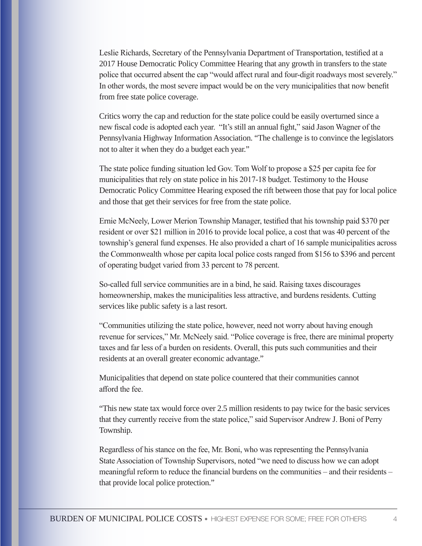Leslie Richards, Secretary of the Pennsylvania Department of Transportation, testified at a 2017 House Democratic Policy Committee Hearing that any growth in transfers to the state police that occurred absent the cap "would affect rural and four-digit roadways most severely." In other words, the most severe impact would be on the very municipalities that now benefit from free state police coverage.

Critics worry the cap and reduction for the state police could be easily overturned since a new fiscal code is adopted each year. "It's still an annual fight," said Jason Wagner of the Pennsylvania Highway Information Association. "The challenge is to convince the legislators not to alter it when they do a budget each year."

The state police funding situation led Gov. Tom Wolf to propose a \$25 per capita fee for municipalities that rely on state police in his 2017-18 budget. Testimony to the House Democratic Policy Committee Hearing exposed the rift between those that pay for local police and those that get their services for free from the state police.

Ernie McNeely, Lower Merion Township Manager, testified that his township paid \$370 per resident or over \$21 million in 2016 to provide local police, a cost that was 40 percent of the township's general fund expenses. He also provided a chart of 16 sample municipalities across the Commonwealth whose per capita local police costs ranged from \$156 to \$396 and percent of operating budget varied from 33 percent to 78 percent.

So-called full service communities are in a bind, he said. Raising taxes discourages homeownership, makes the municipalities less attractive, and burdens residents. Cutting services like public safety is a last resort.

"Communities utilizing the state police, however, need not worry about having enough revenue for services," Mr. McNeely said. "Police coverage is free, there are minimal property taxes and far less of a burden on residents. Overall, this puts such communities and their residents at an overall greater economic advantage."

Municipalities that depend on state police countered that their communities cannot afford the fee.

"This new state tax would force over 2.5 million residents to pay twice for the basic services that they currently receive from the state police," said Supervisor Andrew J. Boni of Perry Township.

Regardless of his stance on the fee, Mr. Boni, who was representing the Pennsylvania State Association of Township Supervisors, noted "we need to discuss how we can adopt meaningful reform to reduce the financial burdens on the communities – and their residents – that provide local police protection."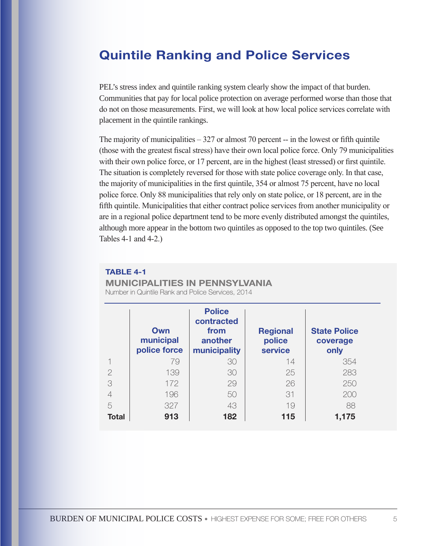## Quintile Ranking and Police Services

PEL's stress index and quintile ranking system clearly show the impact of that burden. Communities that pay for local police protection on average performed worse than those that do not on those measurements. First, we will look at how local police services correlate with placement in the quintile rankings.

The majority of municipalities  $-327$  or almost 70 percent  $-$  in the lowest or fifth quintile (those with the greatest fiscal stress) have their own local police force. Only 79 municipalities with their own police force, or 17 percent, are in the highest (least stressed) or first quintile. The situation is completely reversed for those with state police coverage only. In that case, the majority of municipalities in the first quintile, 354 or almost 75 percent, have no local police force. Only 88 municipalities that rely only on state police, or 18 percent, are in the fifth quintile. Municipalities that either contract police services from another municipality or are in a regional police department tend to be more evenly distributed amongst the quintiles, although more appear in the bottom two quintiles as opposed to the top two quintiles. (See Tables 4-1 and 4-2.)

## TABLE 4-1

MUNICIPALITIES IN PENNSYLVANIA

Number in Quintile Rank and Police Services, 2014

|                | Own<br>municipal<br>police force | <b>Police</b><br>contracted<br>from<br>another<br>municipality | <b>Regional</b><br>police<br>service | <b>State Police</b><br>coverage<br>only |
|----------------|----------------------------------|----------------------------------------------------------------|--------------------------------------|-----------------------------------------|
|                | 79                               | 30                                                             | 14                                   | 354                                     |
| $\overline{2}$ | 139                              | 30                                                             | 25                                   | 283                                     |
| 3              | 172                              | 29                                                             | 26                                   | 250                                     |
| $\overline{4}$ | 196                              | 50                                                             | 31                                   | 200                                     |
| 5              | 327                              | 43                                                             | 19                                   | 88                                      |
| Total          | 913                              | 182                                                            | 115                                  | 1,175                                   |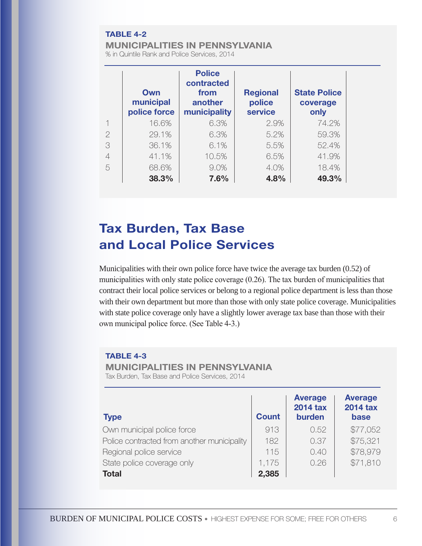### TABLE 4-2

#### MUNICIPALITIES IN PENNSYLVANIA

% in Quintile Rank and Police Services, 2014

|                | Own<br>municipal<br>police force | <b>Police</b><br>contracted<br>from<br>another<br>municipality | <b>Regional</b><br>police<br>service | <b>State Police</b><br>coverage<br>only |
|----------------|----------------------------------|----------------------------------------------------------------|--------------------------------------|-----------------------------------------|
|                | 16.6%                            | 6.3%                                                           | 2.9%                                 | 74.2%                                   |
| $\overline{2}$ | 29.1%                            | 6.3%                                                           | 5.2%                                 | 59.3%                                   |
| 3              | 36.1%                            | 6.1%                                                           | 5.5%                                 | 52.4%                                   |
| $\overline{4}$ | 41.1%                            | 10.5%                                                          | 6.5%                                 | 41.9%                                   |
| 5              | 68.6%                            | 9.0%                                                           | 4.0%                                 | 18.4%                                   |
|                | 38.3%                            | 7.6%                                                           | 4.8%                                 | 49.3%                                   |

# Tax Burden, Tax Base and Local Police Services

Municipalities with their own police force have twice the average tax burden (0.52) of municipalities with only state police coverage (0.26). The tax burden of municipalities that contract their local police services or belong to a regional police department is less than those with their own department but more than those with only state police coverage. Municipalities with state police coverage only have a slightly lower average tax base than those with their own municipal police force. (See Table 4-3.)

#### TABLE 4-3

MUNICIPALITIES IN PENNSYLVANIA

Tax Burden, Tax Base and Police Services, 2014

| <b>Type</b>                                 | <b>Count</b> | <b>Average</b><br><b>2014 tax</b><br>burden | <b>Average</b><br><b>2014 tax</b><br>base |
|---------------------------------------------|--------------|---------------------------------------------|-------------------------------------------|
| Own municipal police force                  | 913          | 0.52                                        | \$77,052                                  |
| Police contracted from another municipality | 182          | 0.37                                        | \$75,321                                  |
| Regional police service                     | 115          | 0.40                                        | \$78,979                                  |
| State police coverage only                  | 1,175        | 0.26                                        | \$71,810                                  |
| <b>Total</b>                                | 2,385        |                                             |                                           |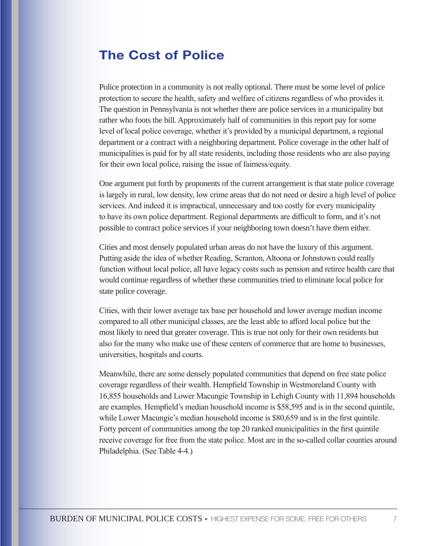## The Cost of Police

Police protection in a community is not really optional. There must be some level of police protection to secure the health, safety and welfare of citizens regardless of who provides it. The question in Pennsylvania is not whether there are police services in a municipality but rather who foots the bill. Approximately half of communities in this report pay for some level of local police coverage, whether it's provided by a municipal department, a regional department or a contract with a neighboring department. Police coverage in the other half of municipalities is paid for by all state residents, including those residents who are also paying for their own local police, raising the issue of fairness/equity.

One argument put forth by proponents of the current arrangement is that state police coverage is largely in rural, low density, low crime areas that do not need or desire a high level of police services. And indeed it is impractical, unnecessary and too costly for every municipality to have its own police department. Regional departments are difficult to form, and it's not possible to contract police services if your neighboring town doesn't have them either.

Cities and most densely populated urban areas do not have the luxury of this argument. Putting aside the idea of whether Reading, Scranton, Altoona or Johnstown could really function without local police, all have legacy costs such as pension and retiree health care that would continue regardless of whether these communities tried to eliminate local police for state police coverage.

Cities, with their lower average tax base per household and lower average median income compared to all other municipal classes, are the least able to afford local police but the most likely to need that greater coverage. This is true not only for their own residents but also for the many who make use of these centers of commerce that are home to businesses, universities, hospitals and courts.

Meanwhile, there are some densely populated communities that depend on free state police coverage regardless of their wealth. Hempfield Township in Westmoreland County with 16,855 households and Lower Macungie Township in Lehigh County with 11,894 households are examples. Hempfield's median household income is \$58,595 and is in the second quintile, while Lower Macungie's median household income is \$80,659 and is in the first quintile. Forty percent of communities among the top 20 ranked municipalities in the first quintile receive coverage for free from the state police. Most are in the so-called collar counties around Philadelphia. (See Table 4-4.)